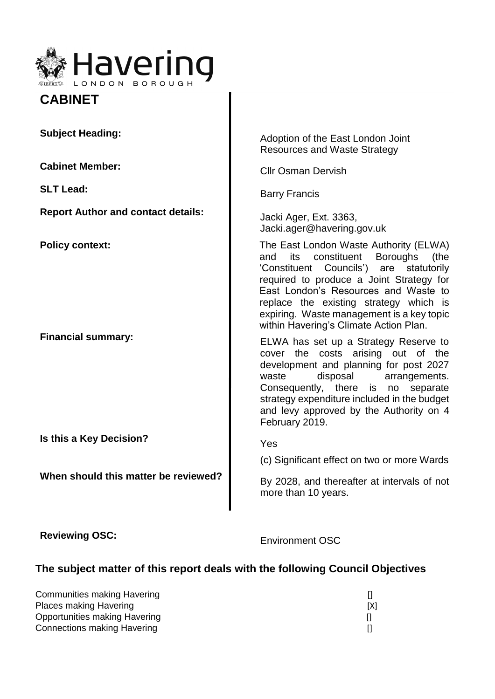

| <b>Subject Heading:</b>                             | Adoption of the East London Joint<br><b>Resources and Waste Strategy</b>                                                                                                                                                                                                                                                                                          |
|-----------------------------------------------------|-------------------------------------------------------------------------------------------------------------------------------------------------------------------------------------------------------------------------------------------------------------------------------------------------------------------------------------------------------------------|
| <b>Cabinet Member:</b>                              | <b>Cllr Osman Dervish</b>                                                                                                                                                                                                                                                                                                                                         |
| <b>SLT Lead:</b>                                    | <b>Barry Francis</b>                                                                                                                                                                                                                                                                                                                                              |
| <b>Report Author and contact details:</b>           | Jacki Ager, Ext. 3363,<br>Jacki.ager@havering.gov.uk                                                                                                                                                                                                                                                                                                              |
| <b>Policy context:</b><br><b>Financial summary:</b> | The East London Waste Authority (ELWA)<br>constituent<br><b>Boroughs</b><br>its<br>and<br>(the<br>'Constituent Councils') are<br>statutorily<br>required to produce a Joint Strategy for<br>East London's Resources and Waste to<br>replace the existing strategy which is<br>expiring. Waste management is a key topic<br>within Havering's Climate Action Plan. |
|                                                     | ELWA has set up a Strategy Reserve to<br>cover the costs arising out of the<br>development and planning for post 2027<br>disposal<br>arrangements.<br>waste<br>Consequently, there<br>is no<br>separate<br>strategy expenditure included in the budget<br>and levy approved by the Authority on 4<br>February 2019.                                               |
| Is this a Key Decision?                             | Yes                                                                                                                                                                                                                                                                                                                                                               |
|                                                     | (c) Significant effect on two or more Wards                                                                                                                                                                                                                                                                                                                       |
| When should this matter be reviewed?                | By 2028, and thereafter at intervals of not<br>more than 10 years.                                                                                                                                                                                                                                                                                                |
|                                                     |                                                                                                                                                                                                                                                                                                                                                                   |

**Reviewing OSC:** Environment OSC

# **The subject matter of this report deals with the following Council Objectives**

| Communities making Havering        |     |
|------------------------------------|-----|
| <b>Places making Havering</b>      | [X] |
| Opportunities making Havering      |     |
| <b>Connections making Havering</b> |     |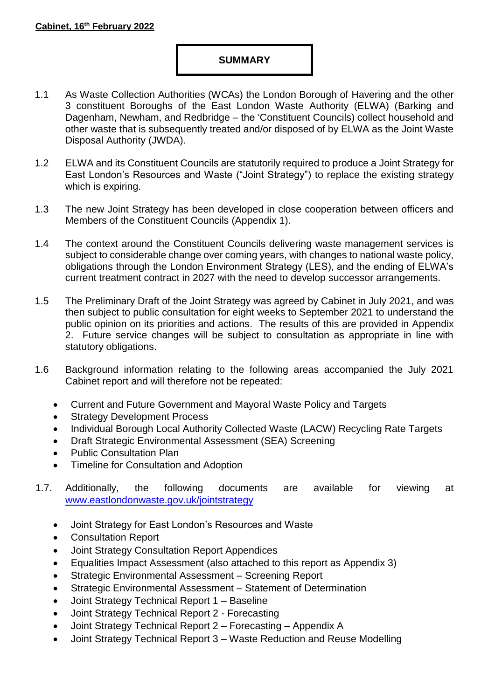#### **SUMMARY**

- 1.1 As Waste Collection Authorities (WCAs) the London Borough of Havering and the other 3 constituent Boroughs of the East London Waste Authority (ELWA) (Barking and Dagenham, Newham, and Redbridge – the 'Constituent Councils) collect household and other waste that is subsequently treated and/or disposed of by ELWA as the Joint Waste Disposal Authority (JWDA).
- 1.2 ELWA and its Constituent Councils are statutorily required to produce a Joint Strategy for East London's Resources and Waste ("Joint Strategy") to replace the existing strategy which is expiring.
- 1.3 The new Joint Strategy has been developed in close cooperation between officers and Members of the Constituent Councils (Appendix 1).
- 1.4 The context around the Constituent Councils delivering waste management services is subject to considerable change over coming years, with changes to national waste policy, obligations through the London Environment Strategy (LES), and the ending of ELWA's current treatment contract in 2027 with the need to develop successor arrangements.
- 1.5 The Preliminary Draft of the Joint Strategy was agreed by Cabinet in July 2021, and was then subject to public consultation for eight weeks to September 2021 to understand the public opinion on its priorities and actions. The results of this are provided in Appendix 2. Future service changes will be subject to consultation as appropriate in line with statutory obligations.
- 1.6 Background information relating to the following areas accompanied the July 2021 Cabinet report and will therefore not be repeated:
	- Current and Future Government and Mayoral Waste Policy and Targets
	- Strategy Development Process
	- Individual Borough Local Authority Collected Waste (LACW) Recycling Rate Targets
	- Draft Strategic Environmental Assessment (SEA) Screening
	- Public Consultation Plan
	- Timeline for Consultation and Adoption
- 1.7. Additionally, the following documents are available for viewing at [www.eastlondonwaste.gov.uk/jointstrategy](http://www.eastlondonwaste.gov.uk/jointstrategy)
	- Joint Strategy for East London's Resources and Waste
	- Consultation Report
	- Joint Strategy Consultation Report Appendices
	- Equalities Impact Assessment (also attached to this report as Appendix 3)
	- Strategic Environmental Assessment Screening Report
	- Strategic Environmental Assessment Statement of Determination
	- Joint Strategy Technical Report 1 Baseline
	- Joint Strategy Technical Report 2 Forecasting
	- Joint Strategy Technical Report 2 Forecasting Appendix A
	- Joint Strategy Technical Report 3 Waste Reduction and Reuse Modelling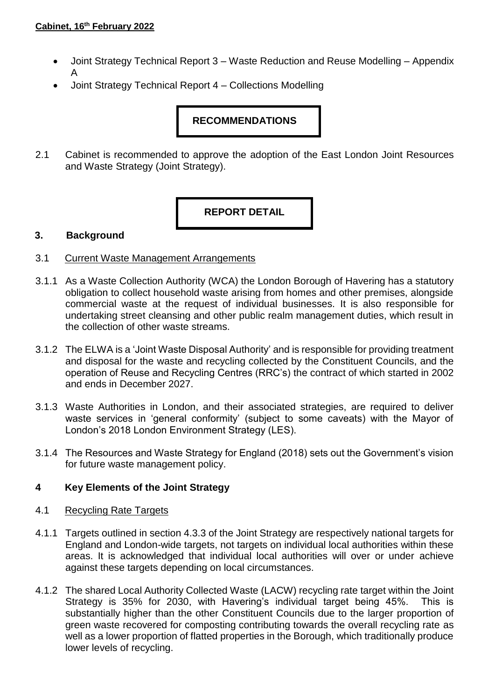- Joint Strategy Technical Report 3 Waste Reduction and Reuse Modelling Appendix A
- Joint Strategy Technical Report 4 Collections Modelling

## **RECOMMENDATIONS**

2.1 Cabinet is recommended to approve the adoption of the East London Joint Resources and Waste Strategy (Joint Strategy).

## **REPORT DETAIL**

#### **3. Background**

- 3.1 Current Waste Management Arrangements
- 3.1.1 As a Waste Collection Authority (WCA) the London Borough of Havering has a statutory obligation to collect household waste arising from homes and other premises, alongside commercial waste at the request of individual businesses. It is also responsible for undertaking street cleansing and other public realm management duties, which result in the collection of other waste streams.
- 3.1.2 The ELWA is a 'Joint Waste Disposal Authority' and is responsible for providing treatment and disposal for the waste and recycling collected by the Constituent Councils, and the operation of Reuse and Recycling Centres (RRC's) the contract of which started in 2002 and ends in December 2027.
- 3.1.3 Waste Authorities in London, and their associated strategies, are required to deliver waste services in 'general conformity' (subject to some caveats) with the Mayor of London's 2018 London Environment Strategy (LES).
- 3.1.4 The Resources and Waste Strategy for England (2018) sets out the Government's vision for future waste management policy.

#### **4 Key Elements of the Joint Strategy**

#### 4.1 Recycling Rate Targets

- 4.1.1 Targets outlined in section 4.3.3 of the Joint Strategy are respectively national targets for England and London-wide targets, not targets on individual local authorities within these areas. It is acknowledged that individual local authorities will over or under achieve against these targets depending on local circumstances.
- 4.1.2 The shared Local Authority Collected Waste (LACW) recycling rate target within the Joint Strategy is 35% for 2030, with Havering's individual target being 45%. This is substantially higher than the other Constituent Councils due to the larger proportion of green waste recovered for composting contributing towards the overall recycling rate as well as a lower proportion of flatted properties in the Borough, which traditionally produce lower levels of recycling.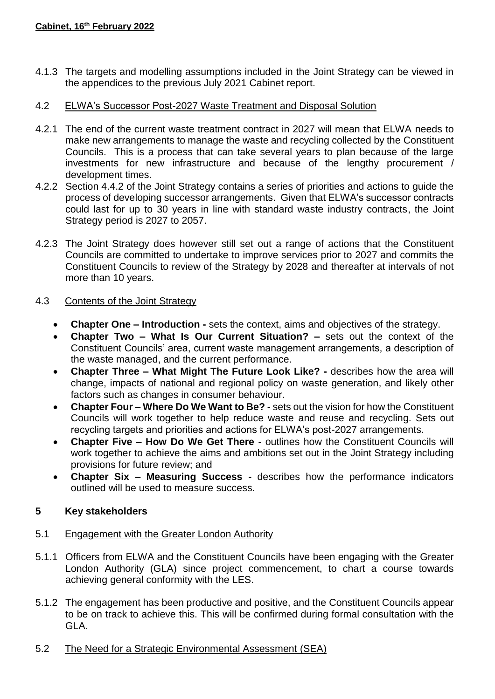4.1.3 The targets and modelling assumptions included in the Joint Strategy can be viewed in the appendices to the previous July 2021 Cabinet report.

#### 4.2 ELWA's Successor Post-2027 Waste Treatment and Disposal Solution

- 4.2.1 The end of the current waste treatment contract in 2027 will mean that ELWA needs to make new arrangements to manage the waste and recycling collected by the Constituent Councils. This is a process that can take several years to plan because of the large investments for new infrastructure and because of the lengthy procurement / development times.
- 4.2.2 Section 4.4.2 of the Joint Strategy contains a series of priorities and actions to guide the process of developing successor arrangements. Given that ELWA's successor contracts could last for up to 30 years in line with standard waste industry contracts, the Joint Strategy period is 2027 to 2057.
- 4.2.3 The Joint Strategy does however still set out a range of actions that the Constituent Councils are committed to undertake to improve services prior to 2027 and commits the Constituent Councils to review of the Strategy by 2028 and thereafter at intervals of not more than 10 years.

#### 4.3 Contents of the Joint Strategy

- **Chapter One – Introduction -** sets the context, aims and objectives of the strategy.
- **Chapter Two – What Is Our Current Situation? –** sets out the context of the Constituent Councils' area, current waste management arrangements, a description of the waste managed, and the current performance.
- **Chapter Three – What Might The Future Look Like? -** describes how the area will change, impacts of national and regional policy on waste generation, and likely other factors such as changes in consumer behaviour.
- **Chapter Four – Where Do We Want to Be? -** sets out the vision for how the Constituent Councils will work together to help reduce waste and reuse and recycling. Sets out recycling targets and priorities and actions for ELWA's post-2027 arrangements.
- **Chapter Five – How Do We Get There -** outlines how the Constituent Councils will work together to achieve the aims and ambitions set out in the Joint Strategy including provisions for future review; and
- **Chapter Six – Measuring Success -** describes how the performance indicators outlined will be used to measure success.

#### **5 Key stakeholders**

#### 5.1 Engagement with the Greater London Authority

- 5.1.1 Officers from ELWA and the Constituent Councils have been engaging with the Greater London Authority (GLA) since project commencement, to chart a course towards achieving general conformity with the LES.
- 5.1.2 The engagement has been productive and positive, and the Constituent Councils appear to be on track to achieve this. This will be confirmed during formal consultation with the GLA.
- 5.2 The Need for a Strategic Environmental Assessment (SEA)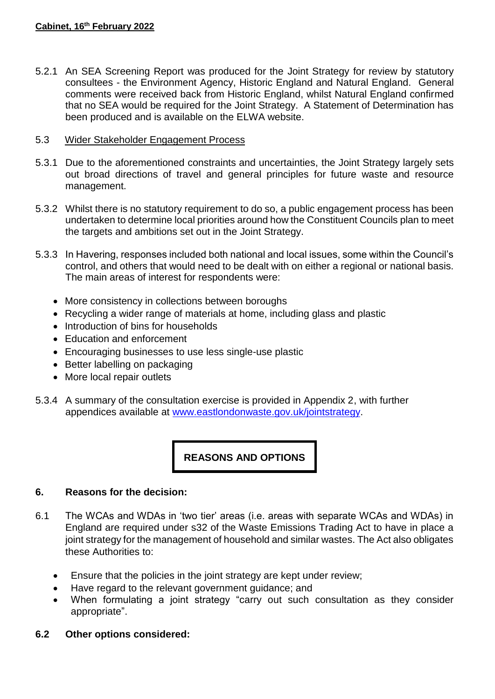- 5.2.1 An SEA Screening Report was produced for the Joint Strategy for review by statutory consultees - the Environment Agency, Historic England and Natural England. General comments were received back from Historic England, whilst Natural England confirmed that no SEA would be required for the Joint Strategy. A Statement of Determination has been produced and is available on the ELWA website.
- 5.3 Wider Stakeholder Engagement Process
- 5.3.1 Due to the aforementioned constraints and uncertainties, the Joint Strategy largely sets out broad directions of travel and general principles for future waste and resource management.
- 5.3.2 Whilst there is no statutory requirement to do so, a public engagement process has been undertaken to determine local priorities around how the Constituent Councils plan to meet the targets and ambitions set out in the Joint Strategy.
- 5.3.3 In Havering, responses included both national and local issues, some within the Council's control, and others that would need to be dealt with on either a regional or national basis. The main areas of interest for respondents were:
	- More consistency in collections between boroughs
	- Recycling a wider range of materials at home, including glass and plastic
	- Introduction of bins for households
	- Education and enforcement
	- Encouraging businesses to use less single-use plastic
	- Better labelling on packaging
	- More local repair outlets
- 5.3.4 A summary of the consultation exercise is provided in Appendix 2, with further appendices available at [www.eastlondonwaste.gov.uk/jointstrategy.](http://www.eastlondonwaste.gov.uk/jointstrategy)

**REASONS AND OPTIONS**

#### **6. Reasons for the decision:**

- 6.1 The WCAs and WDAs in 'two tier' areas (i.e. areas with separate WCAs and WDAs) in England are required under s32 of the Waste Emissions Trading Act to have in place a joint strategy for the management of household and similar wastes. The Act also obligates these Authorities to:
	- Ensure that the policies in the joint strategy are kept under review;
	- Have regard to the relevant government guidance; and
	- When formulating a joint strategy "carry out such consultation as they consider appropriate".
- **6.2 Other options considered:**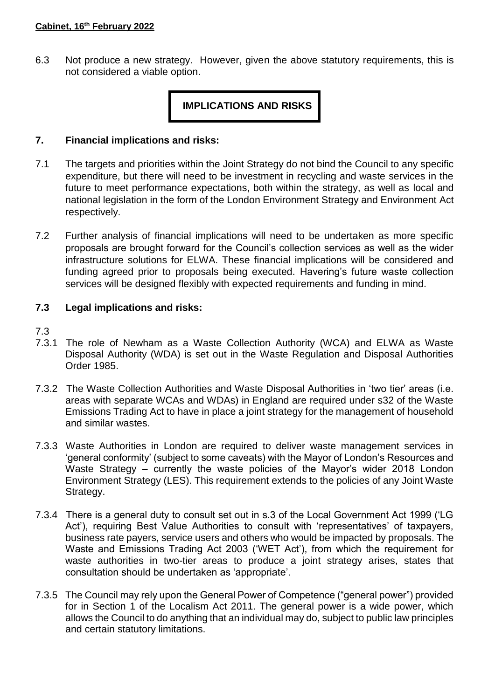6.3 Not produce a new strategy. However, given the above statutory requirements, this is not considered a viable option.

 **IMPLICATIONS AND RISKS**

### **7. Financial implications and risks:**

- 7.1 The targets and priorities within the Joint Strategy do not bind the Council to any specific expenditure, but there will need to be investment in recycling and waste services in the future to meet performance expectations, both within the strategy, as well as local and national legislation in the form of the London Environment Strategy and Environment Act respectively.
- 7.2 Further analysis of financial implications will need to be undertaken as more specific proposals are brought forward for the Council's collection services as well as the wider infrastructure solutions for ELWA. These financial implications will be considered and funding agreed prior to proposals being executed. Havering's future waste collection services will be designed flexibly with expected requirements and funding in mind.

### **7.3 Legal implications and risks:**

- 7.3
- 7.3.1 The role of Newham as a Waste Collection Authority (WCA) and ELWA as Waste Disposal Authority (WDA) is set out in the Waste Regulation and Disposal Authorities Order 1985.
- 7.3.2 The Waste Collection Authorities and Waste Disposal Authorities in 'two tier' areas (i.e. areas with separate WCAs and WDAs) in England are required under s32 of the Waste Emissions Trading Act to have in place a joint strategy for the management of household and similar wastes.
- 7.3.3 Waste Authorities in London are required to deliver waste management services in 'general conformity' (subject to some caveats) with the Mayor of London's Resources and Waste Strategy – currently the waste policies of the Mayor's wider 2018 London Environment Strategy (LES). This requirement extends to the policies of any Joint Waste Strategy.
- 7.3.4 There is a general duty to consult set out in s.3 of the Local Government Act 1999 ('LG Act'), requiring Best Value Authorities to consult with 'representatives' of taxpayers, business rate payers, service users and others who would be impacted by proposals. The Waste and Emissions Trading Act 2003 ('WET Act'), from which the requirement for waste authorities in two-tier areas to produce a joint strategy arises, states that consultation should be undertaken as 'appropriate'.
- 7.3.5 The Council may rely upon the General Power of Competence ("general power") provided for in Section 1 of the Localism Act 2011. The general power is a wide power, which allows the Council to do anything that an individual may do, subject to public law principles and certain statutory limitations.